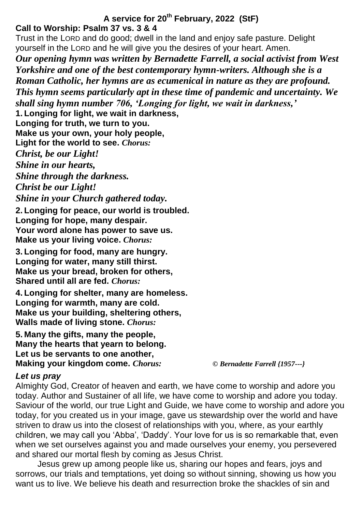# **A service for 20th February, 2022 (StF)**

# **Call to Worship: Psalm 37 vs. 3 & 4**

Trust in the LORD and do good; dwell in the land and enjoy safe pasture. Delight yourself in the LORD and he will give you the desires of your heart. Amen.

*Our opening hymn was written by Bernadette Farrell, a social activist from West Yorkshire and one of the best contemporary hymn-writers. Although she is a Roman Catholic, her hymns are as ecumenical in nature as they are profound. This hymn seems particularly apt in these time of pandemic and uncertainty. We shall sing hymn number 706, 'Longing for light, we wait in darkness,'*

**1. Longing for light, we wait in darkness,**

**Longing for truth, we turn to you.**

**Make us your own, your holy people,**

**Light for the world to see.** *Chorus:*

*Christ, be our Light!*

*Shine in our hearts,*

*Shine through the darkness.*

*Christ be our Light!*

*Shine in your Church gathered today.*

**2. Longing for peace, our world is troubled. Longing for hope, many despair. Your word alone has power to save us. Make us your living voice.** *Chorus:*

**3. Longing for food, many are hungry. Longing for water, many still thirst. Make us your bread, broken for others, Shared until all are fed.** *Chorus:*

**4. Longing for shelter, many are homeless. Longing for warmth, many are cold. Make us your building, sheltering others, Walls made of living stone.** *Chorus:*

**5. Many the gifts, many the people, Many the hearts that yearn to belong. Let us be servants to one another, Making your kingdom come.** *Chorus: © Bernadette Farrell {1957---}*

# *Let us pray*

Almighty God, Creator of heaven and earth, we have come to worship and adore you today. Author and Sustainer of all life, we have come to worship and adore you today. Saviour of the world, our true Light and Guide, we have come to worship and adore you today, for you created us in your image, gave us stewardship over the world and have striven to draw us into the closest of relationships with you, where, as your earthly children, we may call you 'Abba', 'Daddy'. Your love for us is so remarkable that, even when we set ourselves against you and made ourselves your enemy, you persevered and shared our mortal flesh by coming as Jesus Christ.

Jesus grew up among people like us, sharing our hopes and fears, joys and sorrows, our trials and temptations, yet doing so without sinning, showing us how you want us to live. We believe his death and resurrection broke the shackles of sin and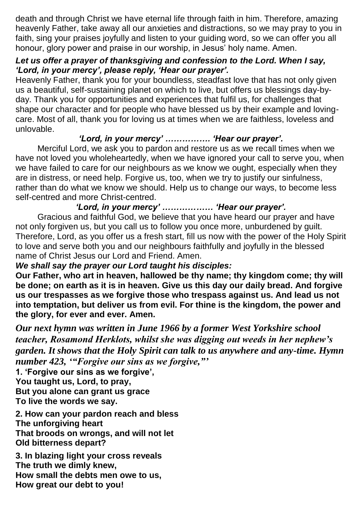death and through Christ we have eternal life through faith in him. Therefore, amazing heavenly Father, take away all our anxieties and distractions, so we may pray to you in faith, sing your praises joyfully and listen to your guiding word, so we can offer you all honour, glory power and praise in our worship, in Jesus' holy name. Amen.

## *Let us offer a prayer of thanksgiving and confession to the Lord. When I say, 'Lord, in your mercy', please reply, 'Hear our prayer'.*

Heavenly Father, thank you for your boundless, steadfast love that has not only given us a beautiful, self-sustaining planet on which to live, but offers us blessings day-byday. Thank you for opportunities and experiences that fulfil us, for challenges that shape our character and for people who have blessed us by their example and lovingcare. Most of all, thank you for loving us at times when we are faithless, loveless and unlovable.

## *'Lord, in your mercy' ……………. 'Hear our prayer'.*

Merciful Lord, we ask you to pardon and restore us as we recall times when we have not loved you wholeheartedly, when we have ignored your call to serve you, when we have failed to care for our neighbours as we know we ought, especially when they are in distress, or need help. Forgive us, too, when we try to justify our sinfulness, rather than do what we know we should. Help us to change our ways, to become less self-centred and more Christ-centred.

*'Lord, in your mercy' ……………… 'Hear our prayer'.*

Gracious and faithful God, we believe that you have heard our prayer and have not only forgiven us, but you call us to follow you once more, unburdened by guilt. Therefore, Lord, as you offer us a fresh start, fill us now with the power of the Holy Spirit to love and serve both you and our neighbours faithfully and joyfully in the blessed name of Christ Jesus our Lord and Friend. Amen.

## *We shall say the prayer our Lord taught his disciples:*

**Our Father, who art in heaven, hallowed be thy name; thy kingdom come; thy will be done; on earth as it is in heaven. Give us this day our daily bread. And forgive us our trespasses as we forgive those who trespass against us. And lead us not into temptation, but deliver us from evil. For thine is the kingdom, the power and the glory, for ever and ever. Amen.**

*Our next hymn was written in June 1966 by a former West Yorkshire school teacher, Rosamond Herklots, whilst she was digging out weeds in her nephew's garden. It shows that the Holy Spirit can talk to us anywhere and any-time. Hymn number 423, '"Forgive our sins as we forgive,"'*

**1. 'Forgive our sins as we forgive', You taught us, Lord, to pray, But you alone can grant us grace To live the words we say.**

**2. How can your pardon reach and bless The unforgiving heart That broods on wrongs, and will not let Old bitterness depart?**

**3. In blazing light your cross reveals The truth we dimly knew, How small the debts men owe to us, How great our debt to you!**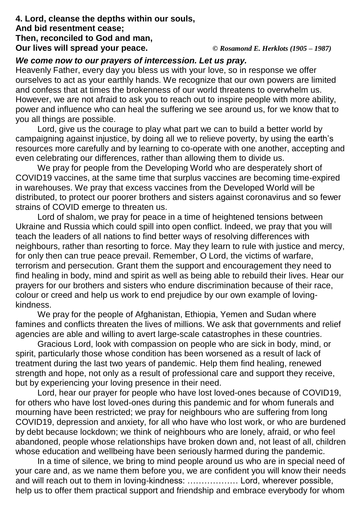#### **4. Lord, cleanse the depths within our souls, And bid resentment cease; Then, reconciled to God and man, Our lives will spread your peace.** *© Rosamond E. Herklots (1905 – 1987)*

### *We come now to our prayers of intercession. Let us pray.*

Heavenly Father, every day you bless us with your love, so in response we offer ourselves to act as your earthly hands. We recognize that our own powers are limited and confess that at times the brokenness of our world threatens to overwhelm us. However, we are not afraid to ask you to reach out to inspire people with more ability, power and influence who can heal the suffering we see around us, for we know that to you all things are possible.

Lord, give us the courage to play what part we can to build a better world by campaigning against injustice, by doing all we to relieve poverty, by using the earth's resources more carefully and by learning to co-operate with one another, accepting and even celebrating our differences, rather than allowing them to divide us.

We pray for people from the Developing World who are desperately short of COVID19 vaccines, at the same time that surplus vaccines are becoming time-expired in warehouses. We pray that excess vaccines from the Developed World will be distributed, to protect our poorer brothers and sisters against coronavirus and so fewer strains of COVID emerge to threaten us.

Lord of shalom, we pray for peace in a time of heightened tensions between Ukraine and Russia which could spill into open conflict. Indeed, we pray that you will teach the leaders of all nations to find better ways of resolving differences with neighbours, rather than resorting to force. May they learn to rule with justice and mercy, for only then can true peace prevail. Remember, O Lord, the victims of warfare, terrorism and persecution. Grant them the support and encouragement they need to find healing in body, mind and spirit as well as being able to rebuild their lives. Hear our prayers for our brothers and sisters who endure discrimination because of their race, colour or creed and help us work to end prejudice by our own example of lovingkindness.

We pray for the people of Afghanistan, Ethiopia, Yemen and Sudan where famines and conflicts threaten the lives of millions. We ask that governments and relief agencies are able and willing to avert large-scale catastrophes in these countries.

Gracious Lord, look with compassion on people who are sick in body, mind, or spirit, particularly those whose condition has been worsened as a result of lack of treatment during the last two years of pandemic. Help them find healing, renewed strength and hope, not only as a result of professional care and support they receive, but by experiencing your loving presence in their need.

Lord, hear our prayer for people who have lost loved-ones because of COVID19, for others who have lost loved-ones during this pandemic and for whom funerals and mourning have been restricted; we pray for neighbours who are suffering from long COVID19, depression and anxiety, for all who have who lost work, or who are burdened by debt because lockdown; we think of neighbours who are lonely, afraid, or who feel abandoned, people whose relationships have broken down and, not least of all, children whose education and wellbeing have been seriously harmed during the pandemic.

In a time of silence, we bring to mind people around us who are in special need of your care and, as we name them before you, we are confident you will know their needs and will reach out to them in loving-kindness: ……………… Lord, wherever possible, help us to offer them practical support and friendship and embrace everybody for whom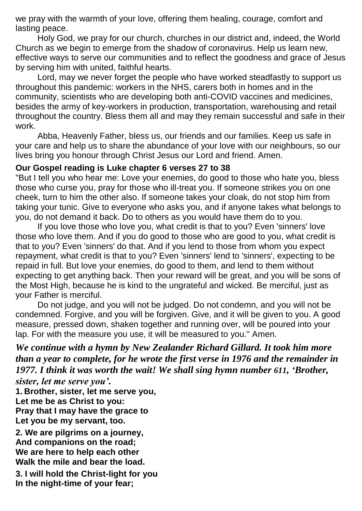we pray with the warmth of your love, offering them healing, courage, comfort and lasting peace.

Holy God, we pray for our church, churches in our district and, indeed, the World Church as we begin to emerge from the shadow of coronavirus. Help us learn new, effective ways to serve our communities and to reflect the goodness and grace of Jesus by serving him with united, faithful hearts.

Lord, may we never forget the people who have worked steadfastly to support us throughout this pandemic: workers in the NHS, carers both in homes and in the community, scientists who are developing both anti-COVID vaccines and medicines, besides the army of key-workers in production, transportation, warehousing and retail throughout the country. Bless them all and may they remain successful and safe in their work.

Abba, Heavenly Father, bless us, our friends and our families. Keep us safe in your care and help us to share the abundance of your love with our neighbours, so our lives bring you honour through Christ Jesus our Lord and friend. Amen.

#### **Our Gospel reading is Luke chapter 6 verses 27 to 38**

"But I tell you who hear me: Love your enemies, do good to those who hate you, bless those who curse you, pray for those who ill-treat you. If someone strikes you on one cheek, turn to him the other also. If someone takes your cloak, do not stop him from taking your tunic. Give to everyone who asks you, and if anyone takes what belongs to you, do not demand it back. Do to others as you would have them do to you.

If you love those who love you, what credit is that to you? Even 'sinners' love those who love them. And if you do good to those who are good to you, what credit is that to you? Even 'sinners' do that. And if you lend to those from whom you expect repayment, what credit is that to you? Even 'sinners' lend to 'sinners', expecting to be repaid in full. But love your enemies, do good to them, and lend to them without expecting to get anything back. Then your reward will be great, and you will be sons of the Most High, because he is kind to the ungrateful and wicked. Be merciful, just as your Father is merciful.

Do not judge, and you will not be judged. Do not condemn, and you will not be condemned. Forgive, and you will be forgiven. Give, and it will be given to you. A good measure, pressed down, shaken together and running over, will be poured into your lap. For with the measure you use, it will be measured to you." Amen.

*We continue with a hymn by New Zealander Richard Gillard. It took him more than a year to complete, for he wrote the first verse in 1976 and the remainder in 1977. I think it was worth the wait! We shall sing hymn number 611, 'Brother,* 

*sister, let me serve you'.*

**1. Brother, sister, let me serve you, Let me be as Christ to you: Pray that I may have the grace to Let you be my servant, too.**

**2. We are pilgrims on a journey, And companions on the road; We are here to help each other Walk the mile and bear the load.**

**3. I will hold the Christ-light for you In the night-time of your fear;**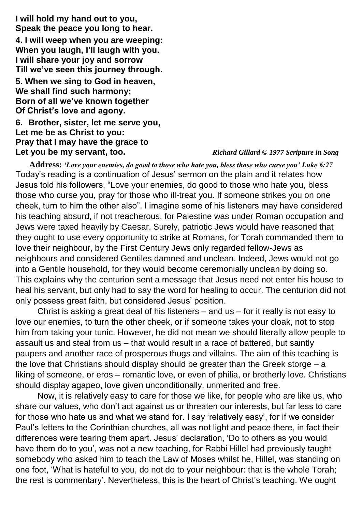**I will hold my hand out to you, Speak the peace you long to hear. 4. I will weep when you are weeping: When you laugh, I'll laugh with you. I will share your joy and sorrow Till we've seen this journey through. 5. When we sing to God in heaven, We shall find such harmony; Born of all we've known together Of Christ's love and agony. 6. Brother, sister, let me serve you, Let me be as Christ to you: Pray that I may have the grace to Let you be my servant, too.** *Richard Gillard* **©** *1977 Scripture in Song*

**Address:** *'Love your enemies, do good to those who hate you, bless those who curse you' Luke 6:27* Today's reading is a continuation of Jesus' sermon on the plain and it relates how Jesus told his followers, "Love your enemies, do good to those who hate you, bless those who curse you, pray for those who ill-treat you. If someone strikes you on one cheek, turn to him the other also". I imagine some of his listeners may have considered his teaching absurd, if not treacherous, for Palestine was under Roman occupation and Jews were taxed heavily by Caesar. Surely, patriotic Jews would have reasoned that they ought to use every opportunity to strike at Romans, for Torah commanded them to love their neighbour, by the First Century Jews only regarded fellow-Jews as neighbours and considered Gentiles damned and unclean. Indeed, Jews would not go into a Gentile household, for they would become ceremonially unclean by doing so. This explains why the centurion sent a message that Jesus need not enter his house to heal his servant, but only had to say the word for healing to occur. The centurion did not only possess great faith, but considered Jesus' position.

Christ is asking a great deal of his listeners – and us – for it really is not easy to love our enemies, to turn the other cheek, or if someone takes your cloak, not to stop him from taking your tunic. However, he did not mean we should literally allow people to assault us and steal from us – that would result in a race of battered, but saintly paupers and another race of prosperous thugs and villains. The aim of this teaching is the love that Christians should display should be greater than the Greek storge – a liking of someone, or eros – romantic love, or even of philia, or brotherly love. Christians should display agapeo, love given unconditionally, unmerited and free.

Now, it is relatively easy to care for those we like, for people who are like us, who share our values, who don't act against us or threaten our interests, but far less to care for those who hate us and what we stand for. I say 'relatively easy', for if we consider Paul's letters to the Corinthian churches, all was not light and peace there, in fact their differences were tearing them apart. Jesus' declaration, 'Do to others as you would have them do to you', was not a new teaching, for Rabbi Hillel had previously taught somebody who asked him to teach the Law of Moses whilst he, Hillel, was standing on one foot, 'What is hateful to you, do not do to your neighbour: that is the whole Torah; the rest is commentary'. Nevertheless, this is the heart of Christ's teaching. We ought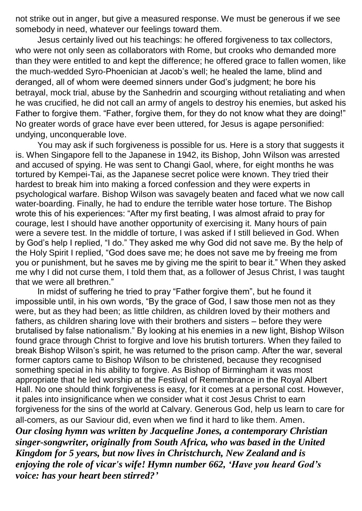not strike out in anger, but give a measured response. We must be generous if we see somebody in need, whatever our feelings toward them.

Jesus certainly lived out his teachings: he offered forgiveness to tax collectors, who were not only seen as collaborators with Rome, but crooks who demanded more than they were entitled to and kept the difference; he offered grace to fallen women, like the much-wedded Syro-Phoenician at Jacob's well; he healed the lame, blind and deranged, all of whom were deemed sinners under God's judgment; he bore his betrayal, mock trial, abuse by the Sanhedrin and scourging without retaliating and when he was crucified, he did not call an army of angels to destroy his enemies, but asked his Father to forgive them. "Father, forgive them, for they do not know what they are doing!" No greater words of grace have ever been uttered, for Jesus is agape personified: undying, unconquerable love.

You may ask if such forgiveness is possible for us. Here is a story that suggests it is. When Singapore fell to the Japanese in 1942, its Bishop, John Wilson was arrested and accused of spying. He was sent to Changi Gaol, where, for eight months he was tortured by Kempei-Tai, as the Japanese secret police were known. They tried their hardest to break him into making a forced confession and they were experts in psychological warfare. Bishop Wilson was savagely beaten and faced what we now call water-boarding. Finally, he had to endure the terrible water hose torture. The Bishop wrote this of his experiences: "After my first beating, I was almost afraid to pray for courage, lest I should have another opportunity of exercising it. Many hours of pain were a severe test. In the middle of torture, I was asked if I still believed in God. When by God's help I replied, "I do." They asked me why God did not save me. By the help of the Holy Spirit I replied, "God does save me; he does not save me by freeing me from you or punishment, but he saves me by giving me the spirit to bear it." When they asked me why I did not curse them, I told them that, as a follower of Jesus Christ, I was taught that we were all brethren."

In midst of suffering he tried to pray "Father forgive them", but he found it impossible until, in his own words, "By the grace of God, I saw those men not as they were, but as they had been; as little children, as children loved by their mothers and fathers, as children sharing love with their brothers and sisters – before they were brutalised by false nationalism." By looking at his enemies in a new light, Bishop Wilson found grace through Christ to forgive and love his brutish torturers. When they failed to break Bishop Wilson's spirit, he was returned to the prison camp. After the war, several former captors came to Bishop Wilson to be christened, because they recognised something special in his ability to forgive. As Bishop of Birmingham it was most appropriate that he led worship at the Festival of Remembrance in the Royal Albert Hall. No one should think forgiveness is easy, for it comes at a personal cost. However, it pales into insignificance when we consider what it cost Jesus Christ to earn forgiveness for the sins of the world at Calvary. Generous God, help us learn to care for all-comers, as our Saviour did, even when we find it hard to like them. Amen. *Our closing hymn was written by Jacqueline Jones, a contemporary Christian singer-songwriter, originally from South Africa, who was based in the United Kingdom for 5 years, but now lives in Christchurch, New Zealand and is enjoying the role of vicar's wife! Hymn number 662, 'Have you heard God's voice: has your heart been stirred?'*